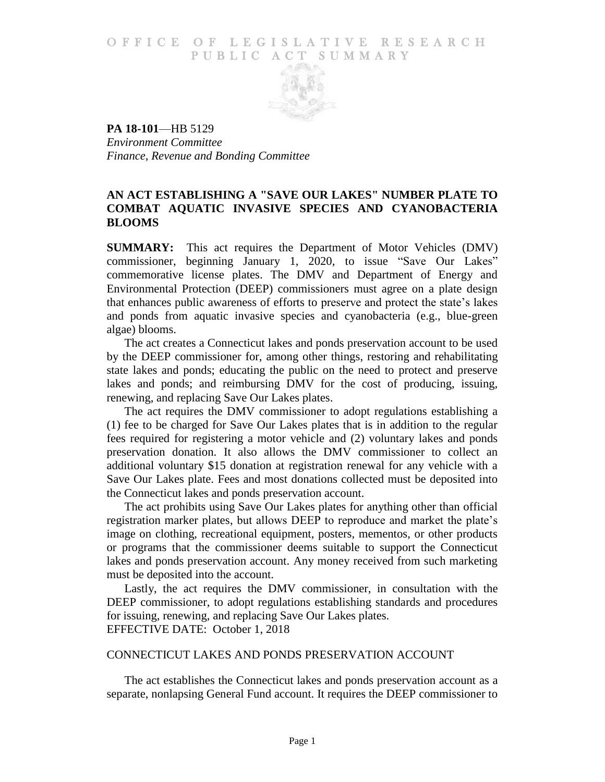## O F FICE OF LEGISLATIVE RESEARCH PUBLIC ACT SUMMARY



**PA 18-101**—HB 5129 *Environment Committee Finance, Revenue and Bonding Committee*

## **AN ACT ESTABLISHING A "SAVE OUR LAKES" NUMBER PLATE TO COMBAT AQUATIC INVASIVE SPECIES AND CYANOBACTERIA BLOOMS**

**SUMMARY:** This act requires the Department of Motor Vehicles (DMV) commissioner, beginning January 1, 2020, to issue "Save Our Lakes" commemorative license plates. The DMV and Department of Energy and Environmental Protection (DEEP) commissioners must agree on a plate design that enhances public awareness of efforts to preserve and protect the state's lakes and ponds from aquatic invasive species and cyanobacteria (e.g., blue-green algae) blooms.

The act creates a Connecticut lakes and ponds preservation account to be used by the DEEP commissioner for, among other things, restoring and rehabilitating state lakes and ponds; educating the public on the need to protect and preserve lakes and ponds; and reimbursing DMV for the cost of producing, issuing, renewing, and replacing Save Our Lakes plates.

The act requires the DMV commissioner to adopt regulations establishing a (1) fee to be charged for Save Our Lakes plates that is in addition to the regular fees required for registering a motor vehicle and (2) voluntary lakes and ponds preservation donation. It also allows the DMV commissioner to collect an additional voluntary \$15 donation at registration renewal for any vehicle with a Save Our Lakes plate. Fees and most donations collected must be deposited into the Connecticut lakes and ponds preservation account.

The act prohibits using Save Our Lakes plates for anything other than official registration marker plates, but allows DEEP to reproduce and market the plate's image on clothing, recreational equipment, posters, mementos, or other products or programs that the commissioner deems suitable to support the Connecticut lakes and ponds preservation account. Any money received from such marketing must be deposited into the account.

Lastly, the act requires the DMV commissioner, in consultation with the DEEP commissioner, to adopt regulations establishing standards and procedures for issuing, renewing, and replacing Save Our Lakes plates. EFFECTIVE DATE: October 1, 2018

## CONNECTICUT LAKES AND PONDS PRESERVATION ACCOUNT

The act establishes the Connecticut lakes and ponds preservation account as a separate, nonlapsing General Fund account. It requires the DEEP commissioner to